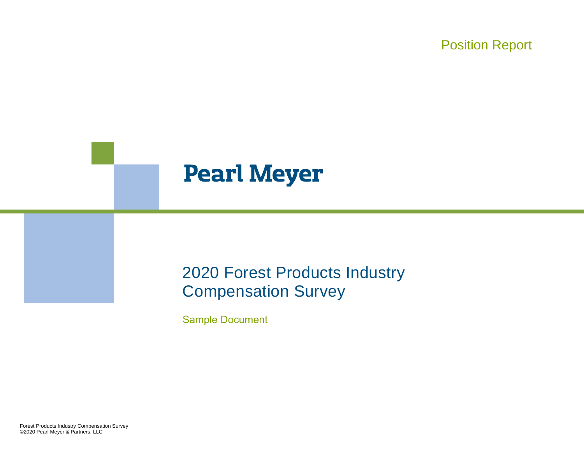Position Report

## **Pearl Meyer**

## 2020 Forest Products Industry Compensation Survey

Sample Document

Forest Products Industry Compensation Survey ©2020 Pearl Meyer & Partners, LLC